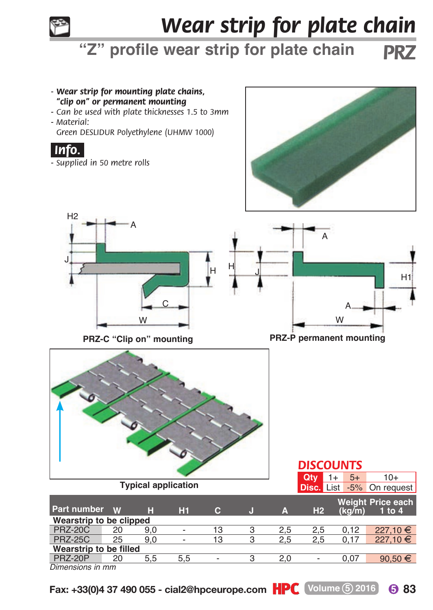

## *Wear strip for plate chain*

**"Z" profile wear strip for plate chain** *PRZ*



**Fax: +33(0)4 37 490 055 - cial2@hpceurope.com HPC** (Volume 5) 2016 6 83